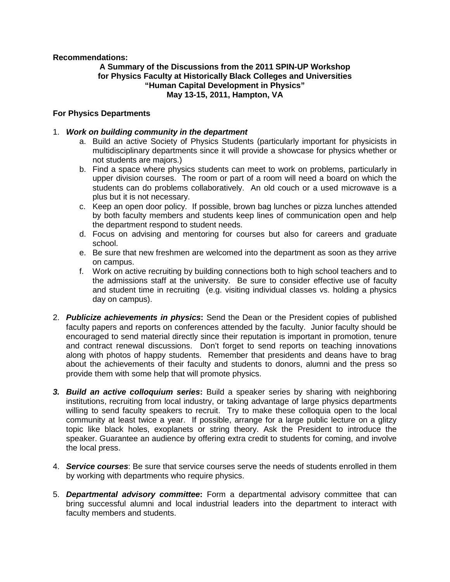**Recommendations:** 

#### **A Summary of the Discussions from the 2011 SPIN-UP Workshop for Physics Faculty at Historically Black Colleges and Universities "Human Capital Development in Physics" May 13-15, 2011, Hampton, VA**

#### **For Physics Departments**

#### 1. *Work on building community in the department*

- a. Build an active Society of Physics Students (particularly important for physicists in multidisciplinary departments since it will provide a showcase for physics whether or not students are majors.)
- b. Find a space where physics students can meet to work on problems, particularly in upper division courses. The room or part of a room will need a board on which the students can do problems collaboratively. An old couch or a used microwave is a plus but it is not necessary.
- c. Keep an open door policy. If possible, brown bag lunches or pizza lunches attended by both faculty members and students keep lines of communication open and help the department respond to student needs.
- d. Focus on advising and mentoring for courses but also for careers and graduate school.
- e. Be sure that new freshmen are welcomed into the department as soon as they arrive on campus.
- f. Work on active recruiting by building connections both to high school teachers and to the admissions staff at the university. Be sure to consider effective use of faculty and student time in recruiting (e.g. visiting individual classes vs. holding a physics day on campus).
- 2. *Publicize achievements in physics***:** Send the Dean or the President copies of published faculty papers and reports on conferences attended by the faculty. Junior faculty should be encouraged to send material directly since their reputation is important in promotion, tenure and contract renewal discussions. Don't forget to send reports on teaching innovations along with photos of happy students. Remember that presidents and deans have to brag about the achievements of their faculty and students to donors, alumni and the press so provide them with some help that will promote physics.
- *3. Build an active colloquium series***:** Build a speaker series by sharing with neighboring institutions, recruiting from local industry, or taking advantage of large physics departments willing to send faculty speakers to recruit. Try to make these colloquia open to the local community at least twice a year. If possible, arrange for a large public lecture on a glitzy topic like black holes, exoplanets or string theory. Ask the President to introduce the speaker. Guarantee an audience by offering extra credit to students for coming, and involve the local press.
- 4. *Service courses*: Be sure that service courses serve the needs of students enrolled in them by working with departments who require physics.
- 5. *Departmental advisory committee***:** Form a departmental advisory committee that can bring successful alumni and local industrial leaders into the department to interact with faculty members and students.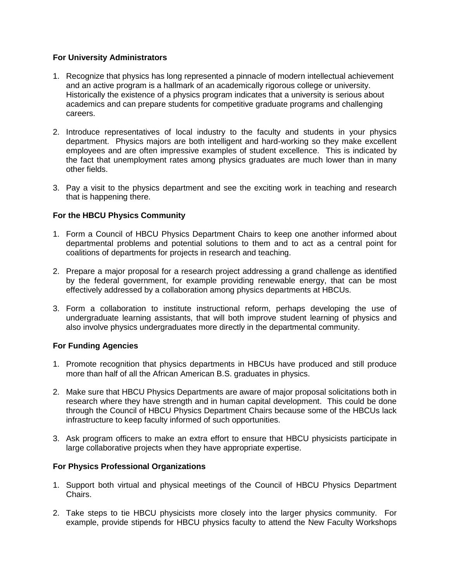#### **For University Administrators**

- 1. Recognize that physics has long represented a pinnacle of modern intellectual achievement and an active program is a hallmark of an academically rigorous college or university. Historically the existence of a physics program indicates that a university is serious about academics and can prepare students for competitive graduate programs and challenging careers.
- 2. Introduce representatives of local industry to the faculty and students in your physics department. Physics majors are both intelligent and hard-working so they make excellent employees and are often impressive examples of student excellence. This is indicated by the fact that unemployment rates among physics graduates are much lower than in many other fields.
- 3. Pay a visit to the physics department and see the exciting work in teaching and research that is happening there.

### **For the HBCU Physics Community**

- 1. Form a Council of HBCU Physics Department Chairs to keep one another informed about departmental problems and potential solutions to them and to act as a central point for coalitions of departments for projects in research and teaching.
- 2. Prepare a major proposal for a research project addressing a grand challenge as identified by the federal government, for example providing renewable energy, that can be most effectively addressed by a collaboration among physics departments at HBCUs.
- 3. Form a collaboration to institute instructional reform, perhaps developing the use of undergraduate learning assistants, that will both improve student learning of physics and also involve physics undergraduates more directly in the departmental community.

#### **For Funding Agencies**

- 1. Promote recognition that physics departments in HBCUs have produced and still produce more than half of all the African American B.S. graduates in physics.
- 2. Make sure that HBCU Physics Departments are aware of major proposal solicitations both in research where they have strength and in human capital development. This could be done through the Council of HBCU Physics Department Chairs because some of the HBCUs lack infrastructure to keep faculty informed of such opportunities.
- 3. Ask program officers to make an extra effort to ensure that HBCU physicists participate in large collaborative projects when they have appropriate expertise.

#### **For Physics Professional Organizations**

- 1. Support both virtual and physical meetings of the Council of HBCU Physics Department Chairs.
- 2. Take steps to tie HBCU physicists more closely into the larger physics community. For example, provide stipends for HBCU physics faculty to attend the New Faculty Workshops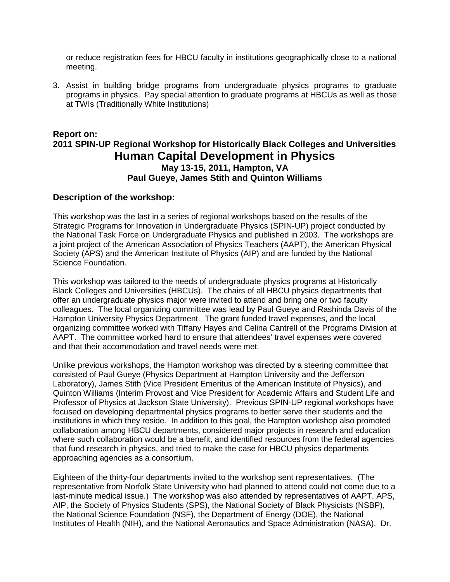or reduce registration fees for HBCU faculty in institutions geographically close to a national meeting.

3. Assist in building bridge programs from undergraduate physics programs to graduate programs in physics. Pay special attention to graduate programs at HBCUs as well as those at TWIs (Traditionally White Institutions)

# **Report on: 2011 SPIN-UP Regional Workshop for Historically Black Colleges and Universities Human Capital Development in Physics May 13-15, 2011, Hampton, VA Paul Gueye, James Stith and Quinton Williams**

#### **Description of the workshop:**

This workshop was the last in a series of regional workshops based on the results of the Strategic Programs for Innovation in Undergraduate Physics (SPIN-UP) project conducted by the National Task Force on Undergraduate Physics and published in 2003. The workshops are a joint project of the American Association of Physics Teachers (AAPT), the American Physical Society (APS) and the American Institute of Physics (AIP) and are funded by the National Science Foundation.

This workshop was tailored to the needs of undergraduate physics programs at Historically Black Colleges and Universities (HBCUs). The chairs of all HBCU physics departments that offer an undergraduate physics major were invited to attend and bring one or two faculty colleagues. The local organizing committee was lead by Paul Gueye and Rashinda Davis of the Hampton University Physics Department. The grant funded travel expenses, and the local organizing committee worked with Tiffany Hayes and Celina Cantrell of the Programs Division at AAPT. The committee worked hard to ensure that attendees' travel expenses were covered and that their accommodation and travel needs were met.

Unlike previous workshops, the Hampton workshop was directed by a steering committee that consisted of Paul Gueye (Physics Department at Hampton University and the Jefferson Laboratory), James Stith (Vice President Emeritus of the American Institute of Physics), and Quinton Williams (Interim Provost and Vice President for Academic Affairs and Student Life and Professor of Physics at Jackson State University). Previous SPIN-UP regional workshops have focused on developing departmental physics programs to better serve their students and the institutions in which they reside. In addition to this goal, the Hampton workshop also promoted collaboration among HBCU departments, considered major projects in research and education where such collaboration would be a benefit, and identified resources from the federal agencies that fund research in physics, and tried to make the case for HBCU physics departments approaching agencies as a consortium.

Eighteen of the thirty-four departments invited to the workshop sent representatives. (The representative from Norfolk State University who had planned to attend could not come due to a last-minute medical issue.) The workshop was also attended by representatives of AAPT. APS, AIP, the Society of Physics Students (SPS), the National Society of Black Physicists (NSBP), the National Science Foundation (NSF), the Department of Energy (DOE), the National Institutes of Health (NIH), and the National Aeronautics and Space Administration (NASA). Dr.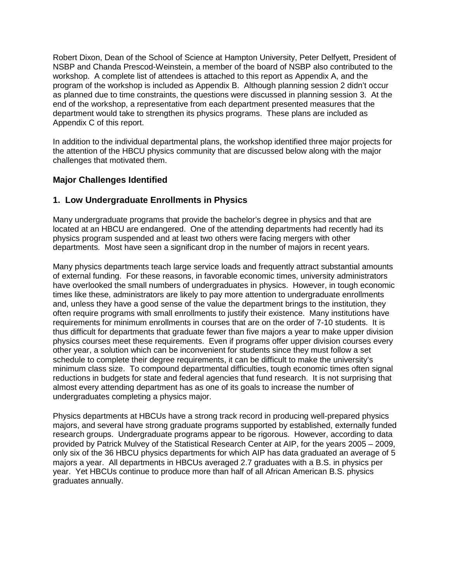Robert Dixon, Dean of the School of Science at Hampton University, Peter Delfyett, President of NSBP and Chanda Prescod-Weinstein, a member of the board of NSBP also contributed to the workshop. A complete list of attendees is attached to this report as Appendix A, and the program of the workshop is included as Appendix B. Although planning session 2 didn't occur as planned due to time constraints, the questions were discussed in planning session 3. At the end of the workshop, a representative from each department presented measures that the department would take to strengthen its physics programs. These plans are included as Appendix C of this report.

In addition to the individual departmental plans, the workshop identified three major projects for the attention of the HBCU physics community that are discussed below along with the major challenges that motivated them.

### **Major Challenges Identified**

### **1. Low Undergraduate Enrollments in Physics**

Many undergraduate programs that provide the bachelor's degree in physics and that are located at an HBCU are endangered. One of the attending departments had recently had its physics program suspended and at least two others were facing mergers with other departments. Most have seen a significant drop in the number of majors in recent years.

Many physics departments teach large service loads and frequently attract substantial amounts of external funding. For these reasons, in favorable economic times, university administrators have overlooked the small numbers of undergraduates in physics. However, in tough economic times like these, administrators are likely to pay more attention to undergraduate enrollments and, unless they have a good sense of the value the department brings to the institution, they often require programs with small enrollments to justify their existence. Many institutions have requirements for minimum enrollments in courses that are on the order of 7-10 students. It is thus difficult for departments that graduate fewer than five majors a year to make upper division physics courses meet these requirements. Even if programs offer upper division courses every other year, a solution which can be inconvenient for students since they must follow a set schedule to complete their degree requirements, it can be difficult to make the university's minimum class size. To compound departmental difficulties, tough economic times often signal reductions in budgets for state and federal agencies that fund research. It is not surprising that almost every attending department has as one of its goals to increase the number of undergraduates completing a physics major.

Physics departments at HBCUs have a strong track record in producing well-prepared physics majors, and several have strong graduate programs supported by established, externally funded research groups. Undergraduate programs appear to be rigorous. However, according to data provided by Patrick Mulvey of the Statistical Research Center at AIP, for the years 2005 – 2009, only six of the 36 HBCU physics departments for which AIP has data graduated an average of 5 majors a year. All departments in HBCUs averaged 2.7 graduates with a B.S. in physics per year. Yet HBCUs continue to produce more than half of all African American B.S. physics graduates annually.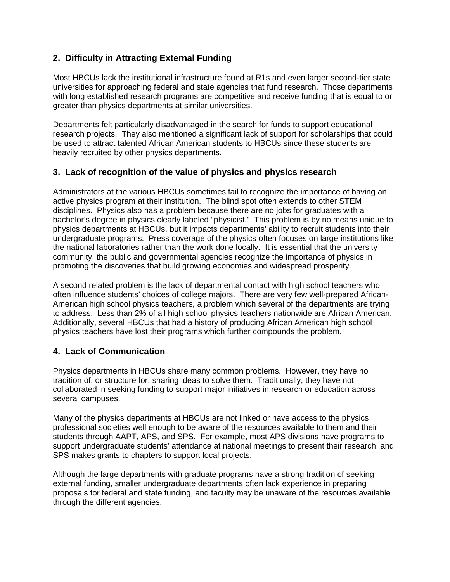# **2. Difficulty in Attracting External Funding**

Most HBCUs lack the institutional infrastructure found at R1s and even larger second-tier state universities for approaching federal and state agencies that fund research. Those departments with long established research programs are competitive and receive funding that is equal to or greater than physics departments at similar universities.

Departments felt particularly disadvantaged in the search for funds to support educational research projects. They also mentioned a significant lack of support for scholarships that could be used to attract talented African American students to HBCUs since these students are heavily recruited by other physics departments.

### **3. Lack of recognition of the value of physics and physics research**

Administrators at the various HBCUs sometimes fail to recognize the importance of having an active physics program at their institution. The blind spot often extends to other STEM disciplines. Physics also has a problem because there are no jobs for graduates with a bachelor's degree in physics clearly labeled "physicist." This problem is by no means unique to physics departments at HBCUs, but it impacts departments' ability to recruit students into their undergraduate programs. Press coverage of the physics often focuses on large institutions like the national laboratories rather than the work done locally. It is essential that the university community, the public and governmental agencies recognize the importance of physics in promoting the discoveries that build growing economies and widespread prosperity.

A second related problem is the lack of departmental contact with high school teachers who often influence students' choices of college majors. There are very few well-prepared African-American high school physics teachers, a problem which several of the departments are trying to address. Less than 2% of all high school physics teachers nationwide are African American. Additionally, several HBCUs that had a history of producing African American high school physics teachers have lost their programs which further compounds the problem.

# **4. Lack of Communication**

Physics departments in HBCUs share many common problems. However, they have no tradition of, or structure for, sharing ideas to solve them. Traditionally, they have not collaborated in seeking funding to support major initiatives in research or education across several campuses.

Many of the physics departments at HBCUs are not linked or have access to the physics professional societies well enough to be aware of the resources available to them and their students through AAPT, APS, and SPS. For example, most APS divisions have programs to support undergraduate students' attendance at national meetings to present their research, and SPS makes grants to chapters to support local projects.

Although the large departments with graduate programs have a strong tradition of seeking external funding, smaller undergraduate departments often lack experience in preparing proposals for federal and state funding, and faculty may be unaware of the resources available through the different agencies.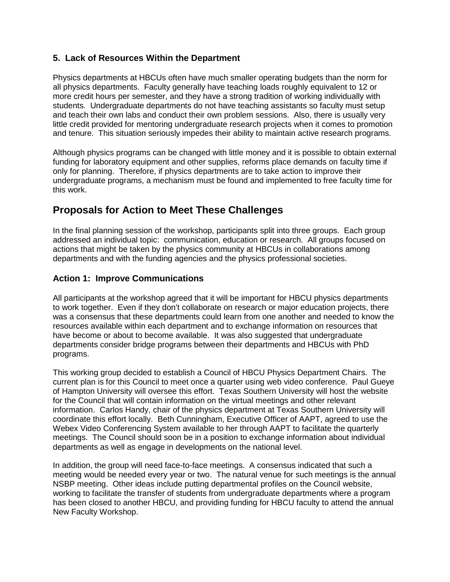### **5. Lack of Resources Within the Department**

Physics departments at HBCUs often have much smaller operating budgets than the norm for all physics departments. Faculty generally have teaching loads roughly equivalent to 12 or more credit hours per semester, and they have a strong tradition of working individually with students. Undergraduate departments do not have teaching assistants so faculty must setup and teach their own labs and conduct their own problem sessions. Also, there is usually very little credit provided for mentoring undergraduate research projects when it comes to promotion and tenure. This situation seriously impedes their ability to maintain active research programs.

Although physics programs can be changed with little money and it is possible to obtain external funding for laboratory equipment and other supplies, reforms place demands on faculty time if only for planning. Therefore, if physics departments are to take action to improve their undergraduate programs, a mechanism must be found and implemented to free faculty time for this work.

# **Proposals for Action to Meet These Challenges**

In the final planning session of the workshop, participants split into three groups. Each group addressed an individual topic: communication, education or research. All groups focused on actions that might be taken by the physics community at HBCUs in collaborations among departments and with the funding agencies and the physics professional societies.

### **Action 1: Improve Communications**

All participants at the workshop agreed that it will be important for HBCU physics departments to work together. Even if they don't collaborate on research or major education projects, there was a consensus that these departments could learn from one another and needed to know the resources available within each department and to exchange information on resources that have become or about to become available. It was also suggested that undergraduate departments consider bridge programs between their departments and HBCUs with PhD programs.

This working group decided to establish a Council of HBCU Physics Department Chairs. The current plan is for this Council to meet once a quarter using web video conference. Paul Gueye of Hampton University will oversee this effort. Texas Southern University will host the website for the Council that will contain information on the virtual meetings and other relevant information. Carlos Handy, chair of the physics department at Texas Southern University will coordinate this effort locally. Beth Cunningham, Executive Officer of AAPT, agreed to use the Webex Video Conferencing System available to her through AAPT to facilitate the quarterly meetings. The Council should soon be in a position to exchange information about individual departments as well as engage in developments on the national level.

In addition, the group will need face-to-face meetings. A consensus indicated that such a meeting would be needed every year or two. The natural venue for such meetings is the annual NSBP meeting. Other ideas include putting departmental profiles on the Council website, working to facilitate the transfer of students from undergraduate departments where a program has been closed to another HBCU, and providing funding for HBCU faculty to attend the annual New Faculty Workshop.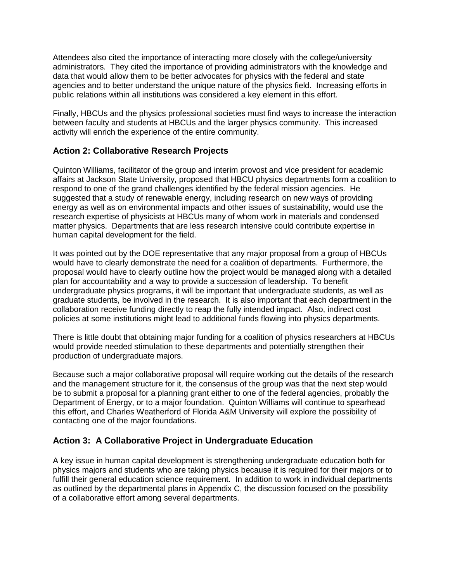Attendees also cited the importance of interacting more closely with the college/university administrators. They cited the importance of providing administrators with the knowledge and data that would allow them to be better advocates for physics with the federal and state agencies and to better understand the unique nature of the physics field. Increasing efforts in public relations within all institutions was considered a key element in this effort.

Finally, HBCUs and the physics professional societies must find ways to increase the interaction between faculty and students at HBCUs and the larger physics community. This increased activity will enrich the experience of the entire community.

### **Action 2: Collaborative Research Projects**

Quinton Williams, facilitator of the group and interim provost and vice president for academic affairs at Jackson State University, proposed that HBCU physics departments form a coalition to respond to one of the grand challenges identified by the federal mission agencies. He suggested that a study of renewable energy, including research on new ways of providing energy as well as on environmental impacts and other issues of sustainability, would use the research expertise of physicists at HBCUs many of whom work in materials and condensed matter physics. Departments that are less research intensive could contribute expertise in human capital development for the field.

It was pointed out by the DOE representative that any major proposal from a group of HBCUs would have to clearly demonstrate the need for a coalition of departments. Furthermore, the proposal would have to clearly outline how the project would be managed along with a detailed plan for accountability and a way to provide a succession of leadership. To benefit undergraduate physics programs, it will be important that undergraduate students, as well as graduate students, be involved in the research. It is also important that each department in the collaboration receive funding directly to reap the fully intended impact. Also, indirect cost policies at some institutions might lead to additional funds flowing into physics departments.

There is little doubt that obtaining major funding for a coalition of physics researchers at HBCUs would provide needed stimulation to these departments and potentially strengthen their production of undergraduate majors.

Because such a major collaborative proposal will require working out the details of the research and the management structure for it, the consensus of the group was that the next step would be to submit a proposal for a planning grant either to one of the federal agencies, probably the Department of Energy, or to a major foundation. Quinton Williams will continue to spearhead this effort, and Charles Weatherford of Florida A&M University will explore the possibility of contacting one of the major foundations.

# **Action 3: A Collaborative Project in Undergraduate Education**

A key issue in human capital development is strengthening undergraduate education both for physics majors and students who are taking physics because it is required for their majors or to fulfill their general education science requirement. In addition to work in individual departments as outlined by the departmental plans in Appendix C, the discussion focused on the possibility of a collaborative effort among several departments.